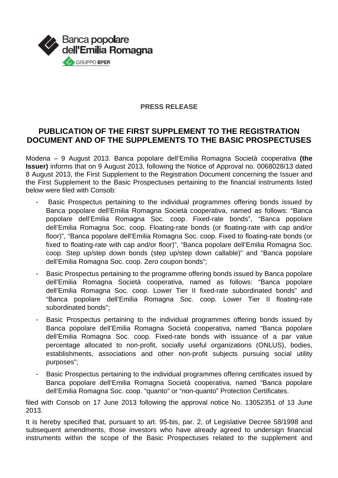

## **PRESS RELEASE**

## **PUBLICATION OF THE FIRST SUPPLEMENT TO THE REGISTRATION DOCUMENT AND OF THE SUPPLEMENTS TO THE BASIC PROSPECTUSES**

Modena – 9 August 2013. Banca popolare dell'Emilia Romagna Società cooperativa **(the Issuer)** informs that on 9 August 2013, following the Notice of Approval no. 0068028/13 dated 8 August 2013, the First Supplement to the Registration Document concerning the Issuer and the First Supplement to the Basic Prospectuses pertaining to the financial instruments listed below were filed with Consob:

- Basic Prospectus pertaining to the individual programmes offering bonds issued by Banca popolare dell'Emilia Romagna Società cooperativa, named as follows: "Banca popolare dell'Emilia Romagna Soc. coop. Fixed-rate bonds", "Banca popolare dell'Emilia Romagna Soc. coop. Floating-rate bonds (or floating-rate with cap and/or floor)", "Banca popolare dell'Emilia Romagna Soc. coop. Fixed to floating-rate bonds (or fixed to floating-rate with cap and/or floor)", "Banca popolare dell'Emilia Romagna Soc. coop. Step up/step down bonds (step up/step down callable)" and "Banca popolare dell'Emilia Romagna Soc. coop. Zero coupon bonds";
- Basic Prospectus pertaining to the programme offering bonds issued by Banca popolare dell'Emilia Romagna Società cooperativa, named as follows: "Banca popolare dell'Emilia Romagna Soc. coop. Lower Tier II fixed-rate subordinated bonds" and "Banca popolare dell'Emilia Romagna Soc. coop. Lower Tier II floating-rate subordinated bonds";
- Basic Prospectus pertaining to the individual programmes offering bonds issued by Banca popolare dell'Emilia Romagna Società cooperativa, named "Banca popolare dell'Emilia Romagna Soc. coop. Fixed-rate bonds with issuance of a par value percentage allocated to non-profit, socially useful organizations (ONLUS), bodies, establishments, associations and other non-profit subjects pursuing social utility purposes";
- Basic Prospectus pertaining to the individual programmes offering certificates issued by Banca popolare dell'Emilia Romagna Società cooperativa, named "Banca popolare dell'Emilia Romagna Soc. coop. "quanto" or "non-quanto" Protection Certificates.

filed with Consob on 17 June 2013 following the approval notice No. 13052351 of 13 June 2013.

It is hereby specified that, pursuant to art. 95-bis, par. 2, of Legislative Decree 58/1998 and subsequent amendments, those investors who have already agreed to undersign financial instruments within the scope of the Basic Prospectuses related to the supplement and